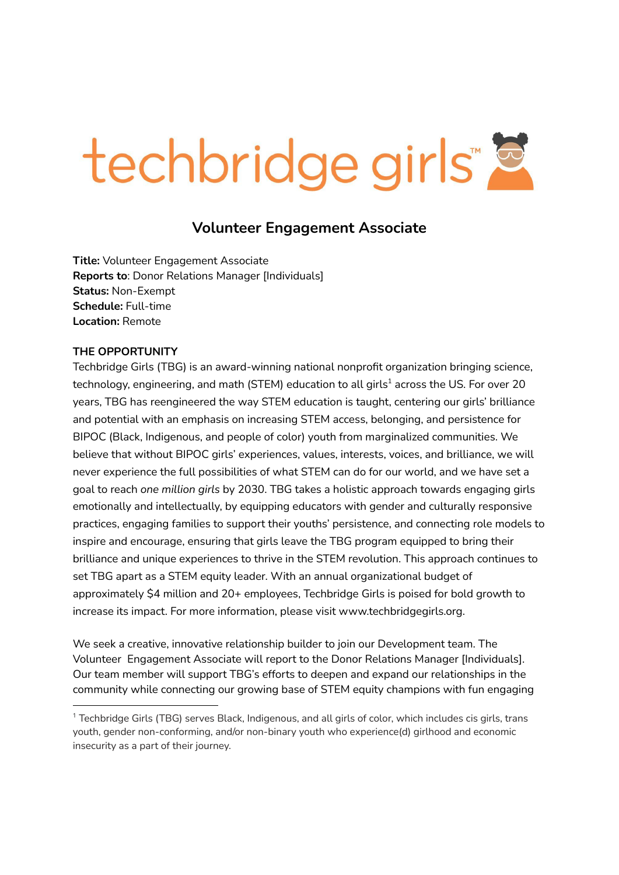# techbridge girls"

# **Volunteer Engagement Associate**

**Title:** Volunteer Engagement Associate **Reports to**: Donor Relations Manager [Individuals] **Status:** Non-Exempt **Schedule:** Full-time **Location:** Remote

#### **THE OPPORTUNITY**

Techbridge Girls (TBG) is an award-winning national nonprofit organization bringing science, technology, engineering, and math (STEM) education to all girls<sup>1</sup> across the US. For over 20 years, TBG has reengineered the way STEM education is taught, centering our girls' brilliance and potential with an emphasis on increasing STEM access, belonging, and persistence for BIPOC (Black, Indigenous, and people of color) youth from marginalized communities. We believe that without BIPOC girls' experiences, values, interests, voices, and brilliance, we will never experience the full possibilities of what STEM can do for our world, and we have set a goal to reach *one million girls* by 2030. TBG takes a holistic approach towards engaging girls emotionally and intellectually, by equipping educators with gender and culturally responsive practices, engaging families to support their youths' persistence, and connecting role models to inspire and encourage, ensuring that girls leave the TBG program equipped to bring their brilliance and unique experiences to thrive in the STEM revolution. This approach continues to set TBG apart as a STEM equity leader. With an annual organizational budget of approximately \$4 million and 20+ employees, Techbridge Girls is poised for bold growth to increase its impact. For more information, please visit www.techbridgegirls.org.

We seek a creative, innovative relationship builder to join our Development team. The Volunteer Engagement Associate will report to the Donor Relations Manager [Individuals]. Our team member will support TBG's efforts to deepen and expand our relationships in the community while connecting our growing base of STEM equity champions with fun engaging

<sup>1</sup> Techbridge Girls (TBG) serves Black, Indigenous, and all girls of color, which includes cis girls, trans youth, gender non-conforming, and/or non-binary youth who experience(d) girlhood and economic insecurity as a part of their journey.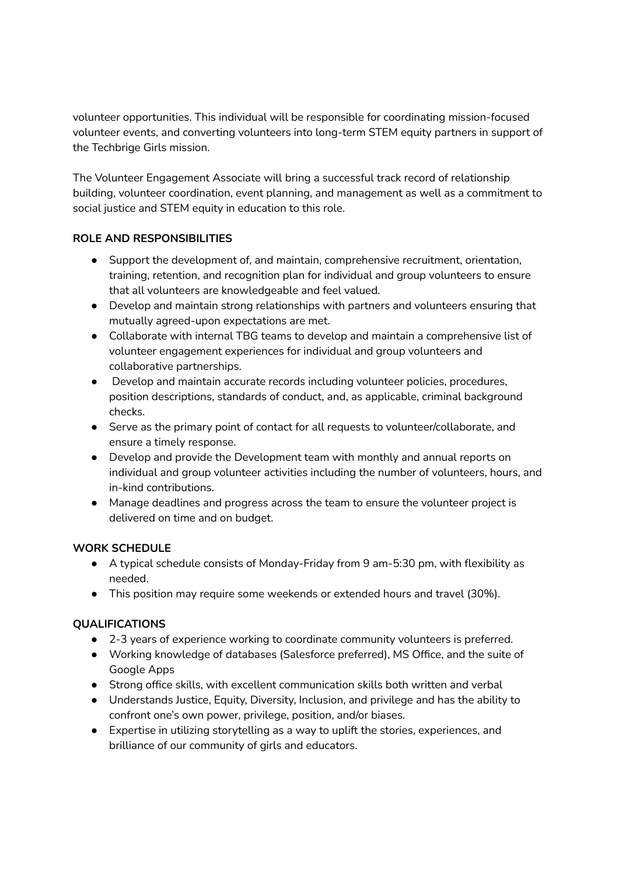volunteer opportunities. This individual will be responsible for coordinating mission-focused volunteer events, and converting volunteers into long-term STEM equity partners in support of the Techbrige Girls mission.

The Volunteer Engagement Associate will bring a successful track record of relationship building, volunteer coordination, event planning, and management as well as a commitment to social justice and STEM equity in education to this role.

#### **ROLE AND RESPONSIBILITIES**

- Support the development of, and maintain, comprehensive recruitment, orientation, training, retention, and recognition plan for individual and group volunteers to ensure that all volunteers are knowledgeable and feel valued.
- Develop and maintain strong relationships with partners and volunteers ensuring that mutually agreed-upon expectations are met.
- Collaborate with internal TBG teams to develop and maintain a comprehensive list of volunteer engagement experiences for individual and group volunteers and collaborative partnerships.
- Develop and maintain accurate records including volunteer policies, procedures, position descriptions, standards of conduct, and, as applicable, criminal background checks.
- Serve as the primary point of contact for all requests to volunteer/collaborate, and ensure a timely response.
- Develop and provide the Development team with monthly and annual reports on individual and group volunteer activities including the number of volunteers, hours, and in-kind contributions.
- Manage deadlines and progress across the team to ensure the volunteer project is delivered on time and on budget.

#### **WORK SCHEDULE**

- A typical schedule consists of Monday-Friday from 9 am-5:30 pm, with flexibility as needed.
- This position may require some weekends or extended hours and travel (30%).

## **QUALIFICATIONS**

- 2-3 years of experience working to coordinate community volunteers is preferred.
- Working knowledge of databases (Salesforce preferred), MS Office, and the suite of Google Apps
- Strong office skills, with excellent communication skills both written and verbal
- Understands Justice, Equity, Diversity, Inclusion, and privilege and has the ability to confront one's own power, privilege, position, and/or biases.
- Expertise in utilizing storytelling as a way to uplift the stories, experiences, and brilliance of our community of girls and educators.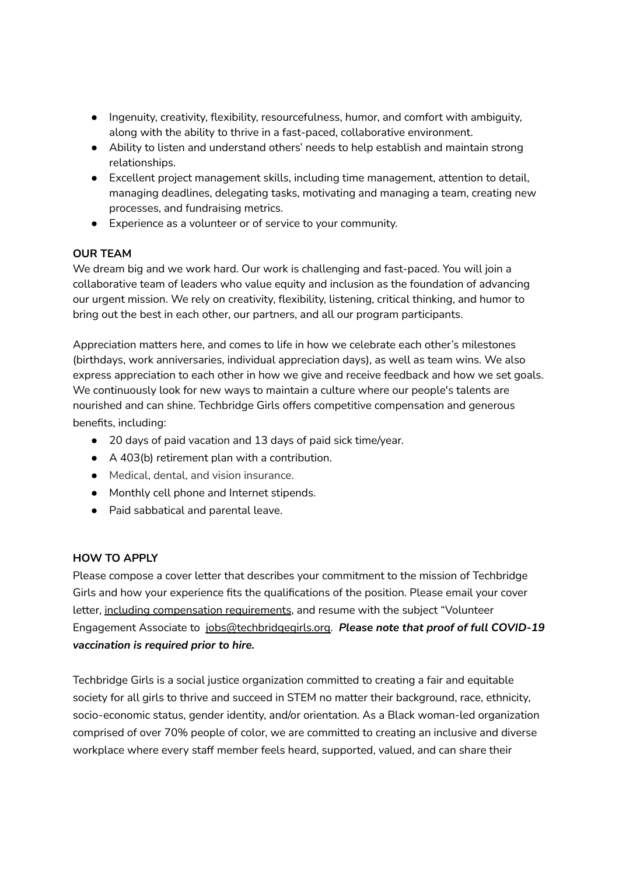- Ingenuity, creativity, flexibility, resourcefulness, humor, and comfort with ambiguity, along with the ability to thrive in a fast-paced, collaborative environment.
- Ability to listen and understand others' needs to help establish and maintain strong relationships.
- Excellent project management skills, including time management, attention to detail, managing deadlines, delegating tasks, motivating and managing a team, creating new processes, and fundraising metrics.
- Experience as a volunteer or of service to your community.

### **OUR TEAM**

We dream big and we work hard. Our work is challenging and fast-paced. You will join a collaborative team of leaders who value equity and inclusion as the foundation of advancing our urgent mission. We rely on creativity, flexibility, listening, critical thinking, and humor to bring out the best in each other, our partners, and all our program participants.

Appreciation matters here, and comes to life in how we celebrate each other's milestones (birthdays, work anniversaries, individual appreciation days), as well as team wins. We also express appreciation to each other in how we give and receive feedback and how we set goals. We continuously look for new ways to maintain a culture where our people's talents are nourished and can shine. Techbridge Girls offers competitive compensation and generous benefits, including:

- 20 days of paid vacation and 13 days of paid sick time/year.
- A 403(b) retirement plan with a contribution.
- Medical, dental, and vision insurance.
- Monthly cell phone and Internet stipends.
- Paid sabbatical and parental leave.

#### **HOW TO APPLY**

Please compose a cover letter that describes your commitment to the mission of Techbridge Girls and how your experience fits the qualifications of the position. Please email your cover letter, including compensation requirements, and resume with the subject "Volunteer Engagement Associate to jobs@techbridgegirls.org. *Please note that proof of full COVID-19 vaccination is required prior to hire.*

Techbridge Girls is a social justice organization committed to creating a fair and equitable society for all girls to thrive and succeed in STEM no matter their background, race, ethnicity, socio-economic status, gender identity, and/or orientation. As a Black woman-led organization comprised of over 70% people of color, we are committed to creating an inclusive and diverse workplace where every staff member feels heard, supported, valued, and can share their